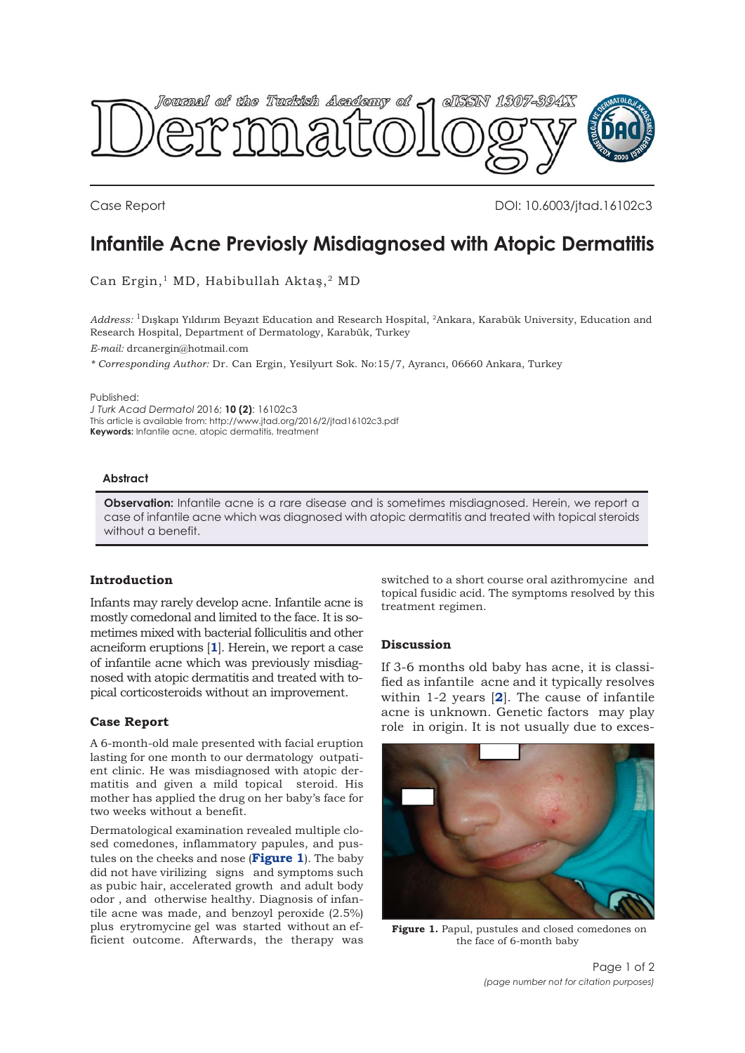

Case Report DOI: 10.6003/jtad.16102c3

# **Infantile Acne Previosly Misdiagnosed with Atopic Dermatitis**

Can Ergin,<sup>1</sup> MD, Habibullah Aktaş,<sup>2</sup> MD

*Address:* 1Dışkapı Yıldırım Beyazıt Education and Research Hospital, 2Ankara, Karabük University, Education and Research Hospital, Department of Dermatology, Karabük, Turkey *E-mail:* drcanergin@hotmail.com

*\* Corresponding Author:* Dr. Can Ergin, Yesilyurt Sok. No:15/7, Ayrancı, 06660 Ankara, Turkey

Published:

*J Turk Acad Dermatol* 2016; **10 (2)**: 16102c3 This article is available from: http://www.jtad.org/2016/2/jtad16102c3.pdf **Keywords:** Infantile acne, atopic dermatitis, treatment

## **Abstract**

**Observation:** Infantile acne is a rare disease and is sometimes misdiagnosed. Herein, we report a case of infantile acne which was diagnosed with atopic dermatitis and treated with topical steroids without a benefit.

## **Introduction**

Infants may rarely develop acne. Infantile acne is mostly comedonal and limited to the face. It is sometimes mixed with bacterial folliculitis and other acneiform eruptions [**[1](#page-1-0)**]. Herein, we report a case of infantile acne which was previously misdiagnosed with atopic dermatitis and treated with topical corticosteroids without an improvement.

### **Case Report**

A 6-month-old male presented with facial eruption lasting for one month to our dermatology outpatient clinic. He was misdiagnosed with atopic dermatitis and given a mild topical steroid. His mother has applied the drug on her baby's face for two weeks without a benefit.

Dermatological examination revealed multiple closed comedones, inflammatory papules, and pustules on the cheeks and nose (**Figure 1**). The baby did not have virilizing signs and symptoms such as pubic hair, accelerated growth and adult body odor , and otherwise healthy. Diagnosis of infantile acne was made, and benzoyl peroxide (2.5%) plus erytromycine gel was started without an efficient outcome. Afterwards, the therapy was

switched to a short course oral azithromycine and topical fusidic acid. The symptoms resolved by this treatment regimen.

### **Discussion**

If 3-6 months old baby has acne, it is classified as infantile acne and it typically resolves within 1-2 years [**[2](#page-1-0)**]. The cause of infantile acne is unknown. Genetic factors may play role in origin. It is not usually due to exces-



**Figure 1.** Papul, pustules and closed comedones on the face of 6-month baby